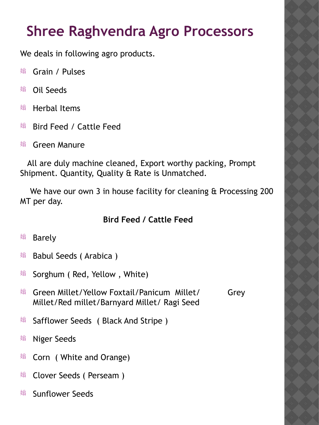# **Shree Raghvendra Agro Processors**

We deals in following agro products.

- Grain / Pulses
- Oil Seeds
- <sup>嫋</sup> Herbal Items
- <sup>嫋</sup> Bird Feed / Cattle Feed
- <sup>嫋</sup> Green Manure

 All are duly machine cleaned, Export worthy packing, Prompt Shipment. Quantity, Quality & Rate is Unmatched.

We have our own 3 in house facility for cleaning & Processing 200 MT per day.

## **Bird Feed / Cattle Feed**

## <sup>嫋</sup> Barely

- <sup>嫋</sup> Babul Seeds (Arabica )
- Sorghum ( Red, Yellow , White)
- <sup>嫋</sup> Green Millet/Yellow Foxtail/Panicum Millet/ Grev Millet/Red millet/Barnyard Millet/ Ragi Seed
- <sup>嫋</sup> Safflower Seeds ( Black And Stripe )
- <sup>嫋</sup> Niger Seeds
- <sup>嫋</sup> Corn ( White and Orange)
- <sup>嫋</sup> Clover Seeds ( Perseam )
- <sup>嫋</sup> Sunflower Seeds